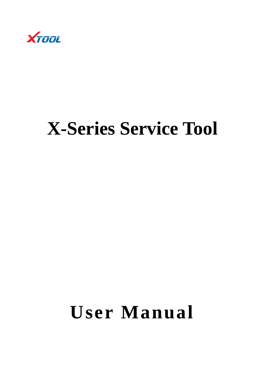

# **X-Series Service Tool**

# **User Manual**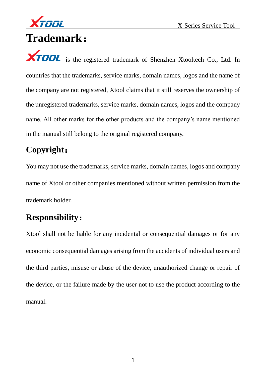

# **Trademark**:

**XTOOL** is the registered trademark of Shenzhen Xtooltech Co., Ltd. In countries that the trademarks, service marks, domain names, logos and the name of the company are not registered, Xtool claims that it still reserves the ownership of the unregistered trademarks, service marks, domain names, logos and the company name. All other marks for the other products and the company's name mentioned in the manual still belong to the original registered company.

## **Copyright**:

You may not use the trademarks, service marks, domain names, logos and company name of Xtool or other companies mentioned without written permission from the trademark holder.

## **Responsibility**:

Xtool shall not be liable for any incidental or consequential damages or for any economic consequential damages arising from the accidents of individual users and the third parties, misuse or abuse of the device, unauthorized change or repair of the device, or the failure made by the user not to use the product according to the manual.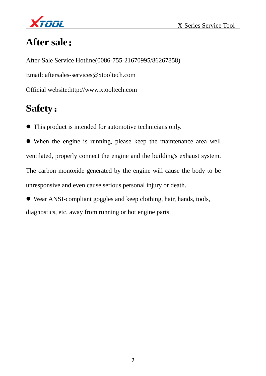

# **After sale**:

After-Sale Service Hotline(0086-755-21670995/86267858) Email: aftersales-services@xtooltech.com Official website:http://www.xtooltech.com

## **Safety**:

This product is intended for automotive technicians only.

 When the engine is running, please keep the maintenance area well ventilated, properly connect the engine and the building's exhaust system. The carbon monoxide generated by the engine will cause the body to be unresponsive and even cause serious personal injury or death.

 Wear ANSI-compliant goggles and keep clothing, hair, hands, tools, diagnostics, etc. away from running or hot engine parts.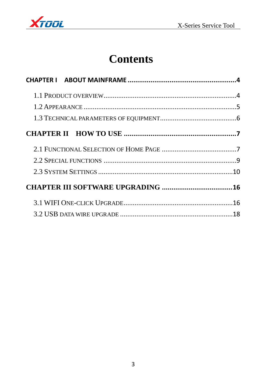

# **Contents**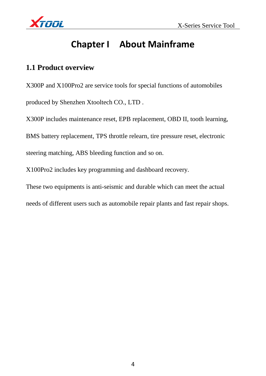

## **Chapter I About Mainframe**

#### **1.1 Product overview**

X300P and X100Pro2 are service tools for special functions of automobiles produced by Shenzhen Xtooltech CO., LTD .

X300P includes maintenance reset, EPB replacement, OBD II, tooth learning,

BMS battery replacement, TPS throttle relearn, tire pressure reset, electronic

steering matching, ABS bleeding function and so on.

X100Pro2 includes key programming and dashboard recovery.

These two equipments is anti-seismic and durable which can meet the actual

needs of different users such as automobile repair plants and fast repair shops.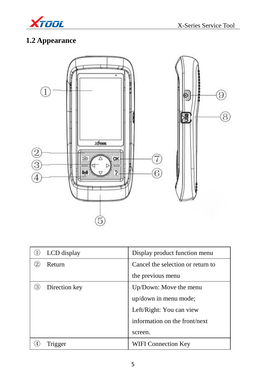

## **1.2 Appearance**



| LCD display   | Display product function menu     |  |
|---------------|-----------------------------------|--|
| Return        | Cancel the selection or return to |  |
|               | the previous menu                 |  |
| Direction key | Up/Down: Move the menu            |  |
|               | up/down in menu mode;             |  |
|               | Left/Right: You can view          |  |
|               | information on the front/next     |  |
|               | screen.                           |  |
| Trigger       | WIFI Connection Key               |  |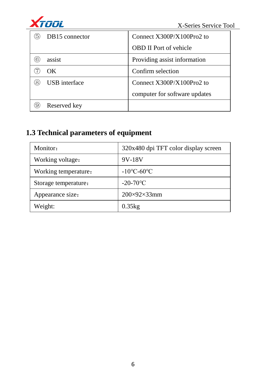

| 5  | DB15 connector       | Connect $X300P/X100Pro2$ to   |
|----|----------------------|-------------------------------|
|    |                      | <b>OBD II Port of vehicle</b> |
|    | assist               | Providing assist information  |
|    | OК                   | Confirm selection             |
| ΄8 | <b>USB</b> interface | Connect X300P/X100Pro2 to     |
|    |                      | computer for software updates |
|    | Reserved key         |                               |

## **1.3 Technical parameters of equipment**

| Monitor:             | 320x480 dpi TFT color display screen |  |
|----------------------|--------------------------------------|--|
| Working voltage:     | 9V-18V                               |  |
| Working temperature: | $-10^{\circ}$ C-60 $^{\circ}$ C      |  |
| Storage temperature: | $-20-70$ °C                          |  |
| Appearance size:     | $200\times92\times33$ mm             |  |
| Weight:              | 0.35kg                               |  |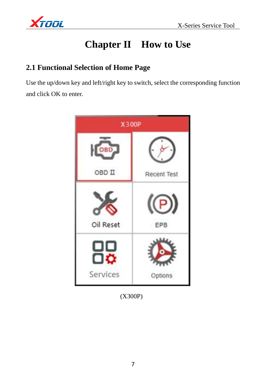

## **Chapter II How to Use**

### **2.1 Functional Selection of Home Page**

Use the up/down key and left/right key to switch, select the corresponding function and click OK to enter.



(X300P)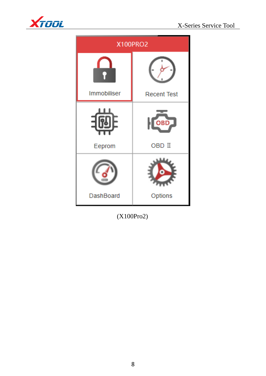



| X100PRO2                 |                    |  |
|--------------------------|--------------------|--|
|                          |                    |  |
| Immobiliser              | <b>Recent Test</b> |  |
| $\overline{\phantom{0}}$ | OBD <sub>-</sub>   |  |
| Eeprom                   | OBD II             |  |
|                          |                    |  |
| DashBoard                | Options            |  |

(X100Pro2)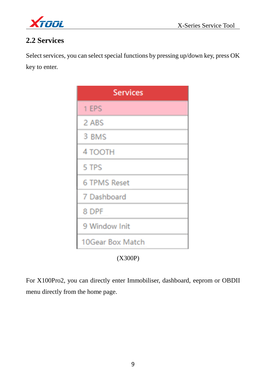

### **2.2 Services**

Select services, you can select special functions by pressing up/down key, press OK key to enter.

| <b>Services</b>     |
|---------------------|
| 1 EPS               |
| 2 ABS               |
| 3 BMS               |
| 4 TOOTH             |
| 5 TPS               |
| <b>6 TPMS Reset</b> |
| 7 Dashboard         |
| 8 DPF               |
| 9 Window Init       |
| 10Gear Box Match    |
| (X300P)             |

For X100Pro2, you can directly enter Immobiliser, dashboard, eeprom or OBDII menu directly from the home page.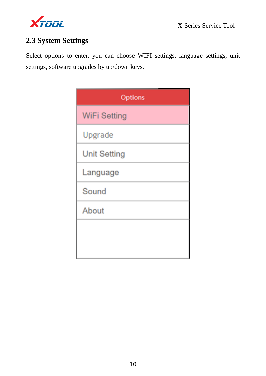

### **2.3 System Settings**

Select options to enter, you can choose WIFI settings, language settings, unit settings, software upgrades by up/down keys.

| Options             |  |  |
|---------------------|--|--|
| <b>WiFi Setting</b> |  |  |
| Upgrade             |  |  |
| <b>Unit Setting</b> |  |  |
| Language            |  |  |
| Sound               |  |  |
| About               |  |  |
|                     |  |  |
|                     |  |  |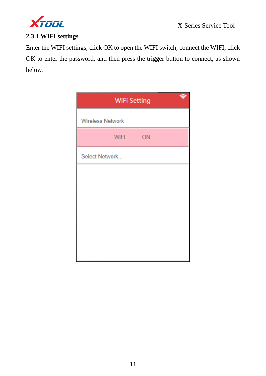

#### **2.3.1 WIFI settings**

Enter the WIFI settings, click OK to open the WIFI switch, connect the WIFI, click OK to enter the password, and then press the trigger button to connect, as shown below.

| <b>WiFi Setting</b>     |             |    |  |
|-------------------------|-------------|----|--|
| <b>Wireless Network</b> |             |    |  |
|                         | <b>WiFi</b> | ON |  |
| Select Network          |             |    |  |
|                         |             |    |  |
|                         |             |    |  |
|                         |             |    |  |
|                         |             |    |  |
|                         |             |    |  |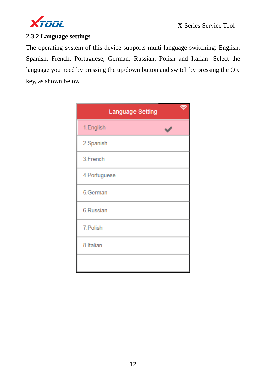

#### **2.3.2 Language settings**

The operating system of this device supports multi-language switching: English, Spanish, French, Portuguese, German, Russian, Polish and Italian. Select the language you need by pressing the up/down button and switch by pressing the OK key, as shown below.

| Language Setting |  |
|------------------|--|
| 1.English        |  |
| 2.Spanish        |  |
| 3.French         |  |
| 4. Portuguese    |  |
| 5.German         |  |
| 6.Russian        |  |
| 7. Polish        |  |
| 8.Italian        |  |
|                  |  |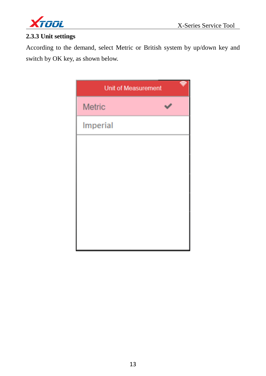

#### **2.3.3 Unit settings**

According to the demand, select Metric or British system by up/down key and switch by OK key, as shown below.

| <b>Unit of Measurement</b> |  |  |
|----------------------------|--|--|
| <b>Metric</b>              |  |  |
| Imperial                   |  |  |
|                            |  |  |
|                            |  |  |
|                            |  |  |
|                            |  |  |
|                            |  |  |
|                            |  |  |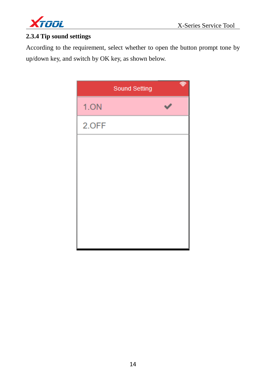

#### **2.3.4 Tip sound settings**

According to the requirement, select whether to open the button prompt tone by up/down key, and switch by OK key, as shown below.

|       | <b>Sound Setting</b> |  |
|-------|----------------------|--|
| 1.ON  |                      |  |
| 2.OFF |                      |  |
|       |                      |  |
|       |                      |  |
|       |                      |  |
|       |                      |  |
|       |                      |  |
|       |                      |  |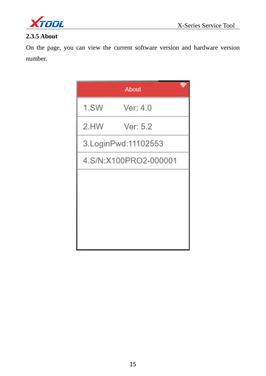



#### **2.3.5 About**

On the page, you can view the current software version and hardware version number.

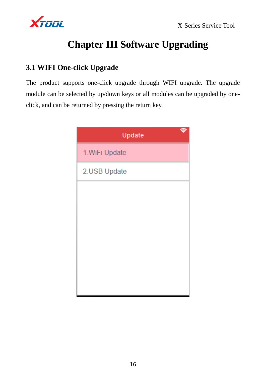

# **Chapter III Software Upgrading**

### **3.1 WIFI One-click Upgrade**

The product supports one-click upgrade through WIFI upgrade. The upgrade module can be selected by up/down keys or all modules can be upgraded by oneclick, and can be returned by pressing the return key.

| Update         |
|----------------|
| 1. WiFi Update |
| 2.USB Update   |
|                |
|                |
|                |
|                |
|                |
|                |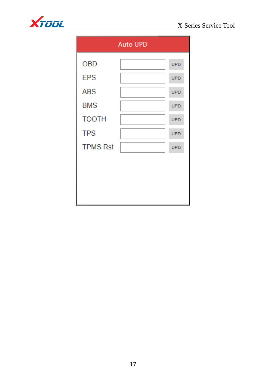

| <b>Auto UPD</b> |  |            |
|-----------------|--|------------|
| <b>OBD</b>      |  | <b>UPD</b> |
| <b>EPS</b>      |  | <b>UPD</b> |
| <b>ABS</b>      |  | <b>UPD</b> |
| <b>BMS</b>      |  | <b>UPD</b> |
| <b>TOOTH</b>    |  | <b>UPD</b> |
| <b>TPS</b>      |  | <b>UPD</b> |
| <b>TPMS Rst</b> |  | <b>UPD</b> |
|                 |  |            |
|                 |  |            |
|                 |  |            |
|                 |  |            |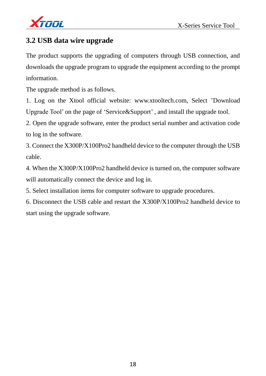

### **3.2 USB data wire upgrade**

The product supports the upgrading of computers through USB connection, and downloads the upgrade program to upgrade the equipment according to the prompt information.

The upgrade method is as follows.

1. Log on the Xtool official website: [www.xtooltech.com,](http://www.xtooltech.com,/) Select 'Download Upgrade Tool' on the page of 'Service&Support' , and install the upgrade tool.

2. Open the upgrade software, enter the product serial number and activation code to log in the software.

3. Connect the X300P/X100Pro2 handheld device to the computer through the USB cable.

4. When the X300P/X100Pro2 handheld device is turned on, the computer software will automatically connect the device and log in.

5. Select installation items for computer software to upgrade procedures.

6. Disconnect the USB cable and restart the X300P/X100Pro2 handheld device to start using the upgrade software.